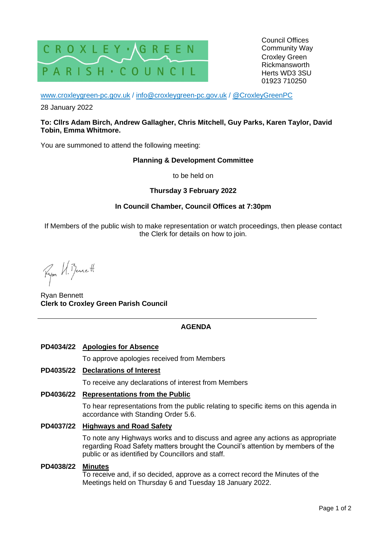

Council Offices Community Way Croxley Green Rickmansworth Herts WD3 3SU 01923 710250

[www.croxleygreen-pc.gov.uk](http://www.croxleygreen-pc.gov.uk/) / [info@croxleygreen-pc.gov.uk](mailto:info@croxleygreen-pc.gov.uk) / [@CroxleyGreenPC](https://twitter.com/CroxleyGreenPC)

28 January 2022

#### **To: Cllrs Adam Birch, Andrew Gallagher, Chris Mitchell, Guy Parks, Karen Taylor, David Tobin, Emma Whitmore.**

You are summoned to attend the following meeting:

#### **Planning & Development Committee**

to be held on

### **Thursday 3 February 2022**

### **In Council Chamber, Council Offices at 7:30pm**

If Members of the public wish to make representation or watch proceedings, then please contact the Clerk for details on how to join.

Ryon U. Benett

Ryan Bennett **Clerk to Croxley Green Parish Council**

#### **AGENDA**

#### **PD4034/22 Apologies for Absence**

To approve apologies received from Members

## **PD4035/22 Declarations of Interest**

To receive any declarations of interest from Members

#### **PD4036/22 Representations from the Public**

To hear representations from the public relating to specific items on this agenda in accordance with Standing Order 5.6.

#### **PD4037/22 Highways and Road Safety**

To note any Highways works and to discuss and agree any actions as appropriate regarding Road Safety matters brought the Council's attention by members of the public or as identified by Councillors and staff.

#### **PD4038/22 Minutes**

To receive and, if so decided, approve as a correct record the Minutes of the Meetings held on Thursday 6 and Tuesday 18 January 2022.